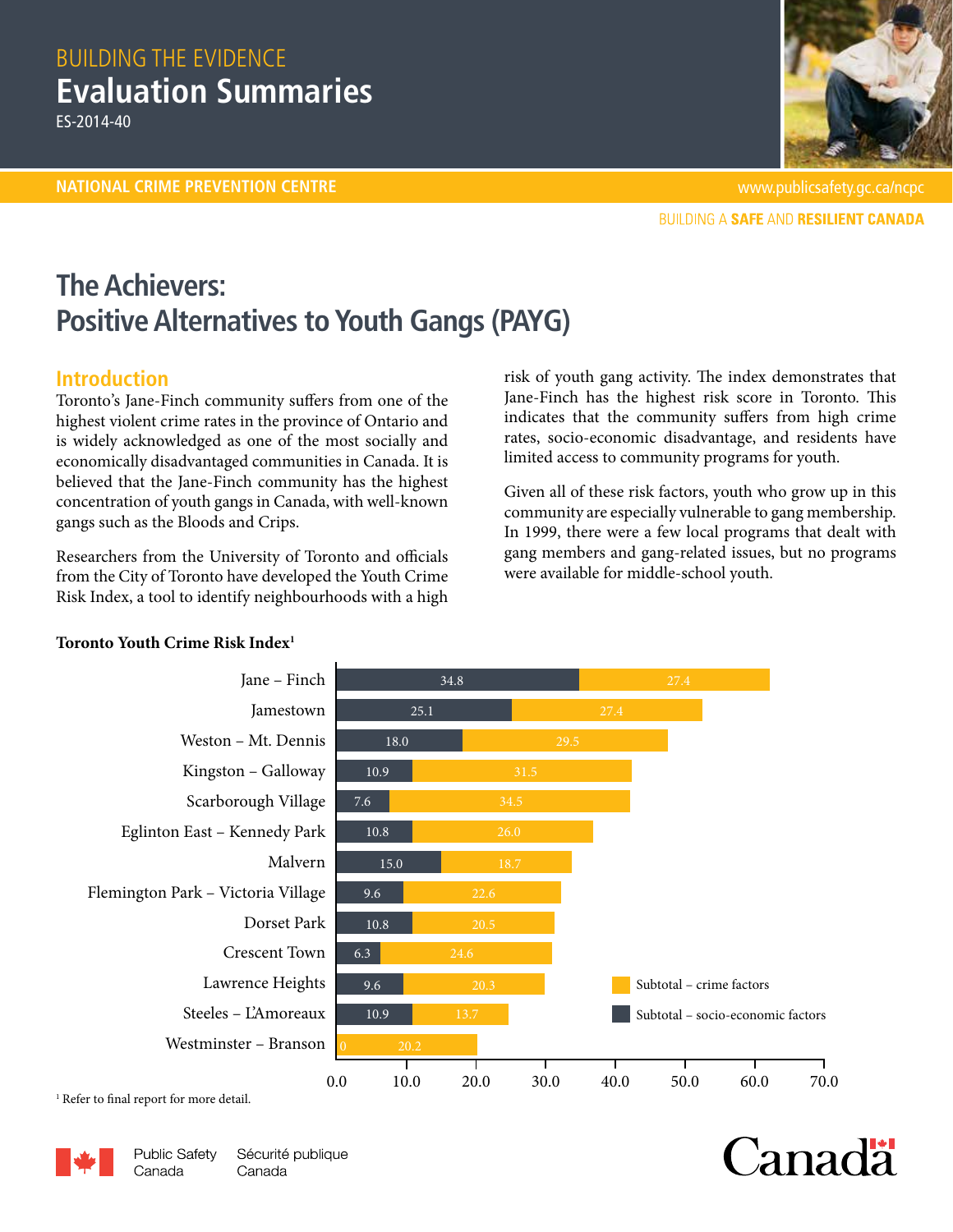# BUILDING THE EVIDENCE **Evaluation Summaries**

ES-2014-40



Canadä

**BUILDING A SAFE AND RESILIENT CANADA** 

# **The Achievers: Positive Alternatives to Youth Gangs (PAYG)**

## **Introduction**

Toronto's Jane-Finch community suffers from one of the highest violent crime rates in the province of Ontario and is widely acknowledged as one of the most socially and economically disadvantaged communities in Canada. It is believed that the Jane-Finch community has the highest concentration of youth gangs in Canada, with well-known gangs such as the Bloods and Crips.

Researchers from the University of Toronto and officials from the City of Toronto have developed the Youth Crime Risk Index, a tool to identify neighbourhoods with a high risk of youth gang activity. The index demonstrates that Jane-Finch has the highest risk score in Toronto. This indicates that the community suffers from high crime rates, socio-economic disadvantage, and residents have limited access to community programs for youth.

Given all of these risk factors, youth who grow up in this community are especially vulnerable to gang membership. In 1999, there were a few local programs that dealt with gang members and gang-related issues, but no programs were available for middle-school youth.



## **Toronto Youth Crime Risk Index1**

<sup>1</sup> Refer to final report for more detail.

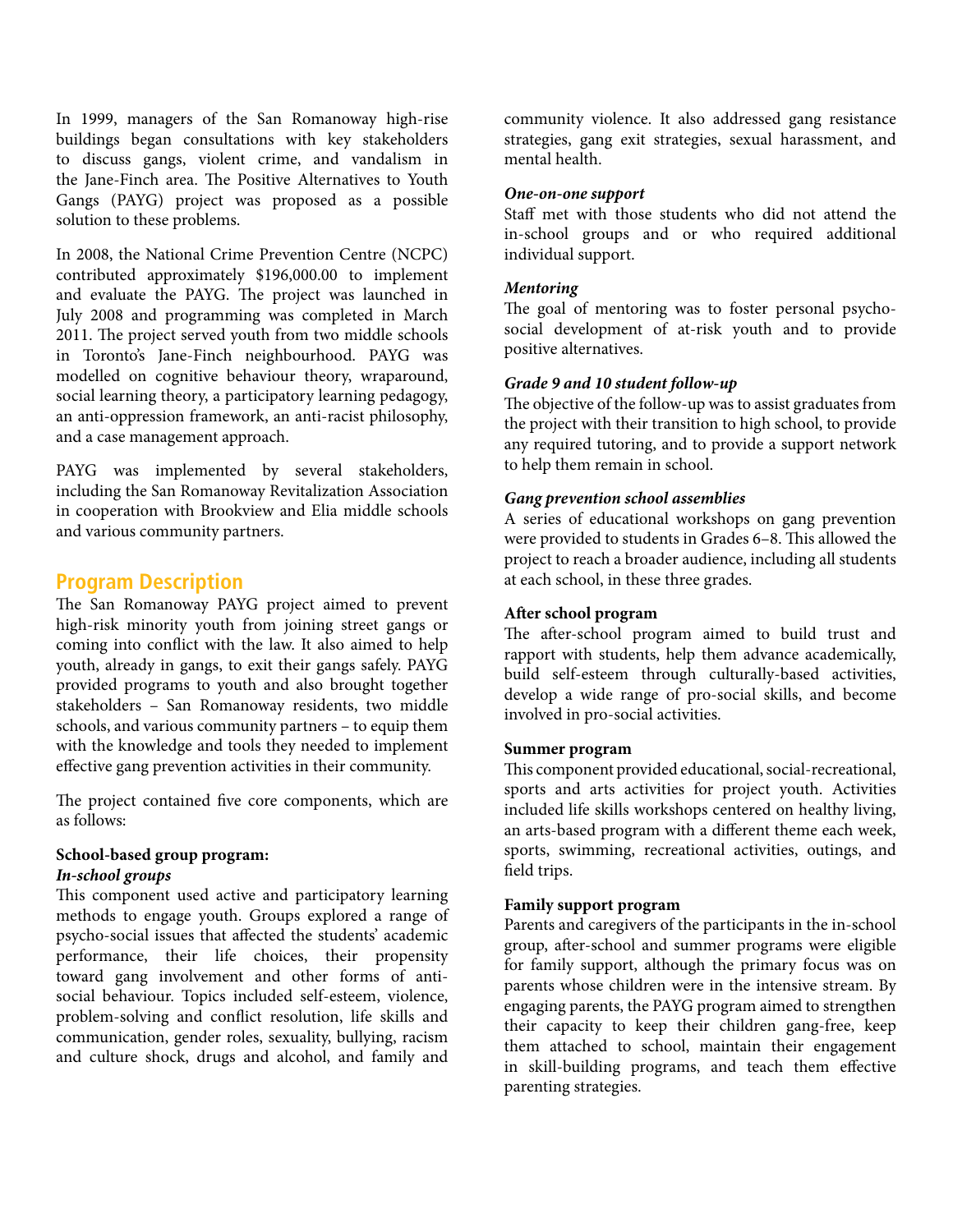In 1999, managers of the San Romanoway high-rise buildings began consultations with key stakeholders to discuss gangs, violent crime, and vandalism in the Jane-Finch area. The Positive Alternatives to Youth Gangs (PAYG) project was proposed as a possible solution to these problems.

In 2008, the National Crime Prevention Centre (NCPC) contributed approximately \$196,000.00 to implement and evaluate the PAYG. The project was launched in July 2008 and programming was completed in March 2011. The project served youth from two middle schools in Toronto's Jane-Finch neighbourhood. PAYG was modelled on cognitive behaviour theory, wraparound, social learning theory, a participatory learning pedagogy, an anti-oppression framework, an anti-racist philosophy, and a case management approach.

PAYG was implemented by several stakeholders, including the San Romanoway Revitalization Association in cooperation with Brookview and Elia middle schools and various community partners.

## **Program Description**

The San Romanoway PAYG project aimed to prevent high-risk minority youth from joining street gangs or coming into conflict with the law. It also aimed to help youth, already in gangs, to exit their gangs safely. PAYG provided programs to youth and also brought together stakeholders – San Romanoway residents, two middle schools, and various community partners – to equip them with the knowledge and tools they needed to implement effective gang prevention activities in their community.

The project contained five core components, which are as follows:

# **School-based group program:**

## *In-school groups*

This component used active and participatory learning methods to engage youth. Groups explored a range of psycho-social issues that affected the students' academic performance, their life choices, their propensity toward gang involvement and other forms of antisocial behaviour. Topics included self-esteem, violence, problem-solving and conflict resolution, life skills and communication, gender roles, sexuality, bullying, racism and culture shock, drugs and alcohol, and family and

community violence. It also addressed gang resistance strategies, gang exit strategies, sexual harassment, and mental health.

#### *One-on-one support*

Staff met with those students who did not attend the in-school groups and or who required additional individual support.

#### *Mentoring*

The goal of mentoring was to foster personal psychosocial development of at-risk youth and to provide positive alternatives.

#### *Grade 9 and 10 student follow-up*

The objective of the follow-up was to assist graduates from the project with their transition to high school, to provide any required tutoring, and to provide a support network to help them remain in school.

#### *Gang prevention school assemblies*

A series of educational workshops on gang prevention were provided to students in Grades 6–8. This allowed the project to reach a broader audience, including all students at each school, in these three grades.

#### **After school program**

The after-school program aimed to build trust and rapport with students, help them advance academically, build self-esteem through culturally-based activities, develop a wide range of pro-social skills, and become involved in pro-social activities.

#### **Summer program**

This component provided educational, social-recreational, sports and arts activities for project youth. Activities included life skills workshops centered on healthy living, an arts-based program with a different theme each week, sports, swimming, recreational activities, outings, and field trips.

#### **Family support program**

Parents and caregivers of the participants in the in-school group, after-school and summer programs were eligible for family support, although the primary focus was on parents whose children were in the intensive stream. By engaging parents, the PAYG program aimed to strengthen their capacity to keep their children gang-free, keep them attached to school, maintain their engagement in skill-building programs, and teach them effective parenting strategies.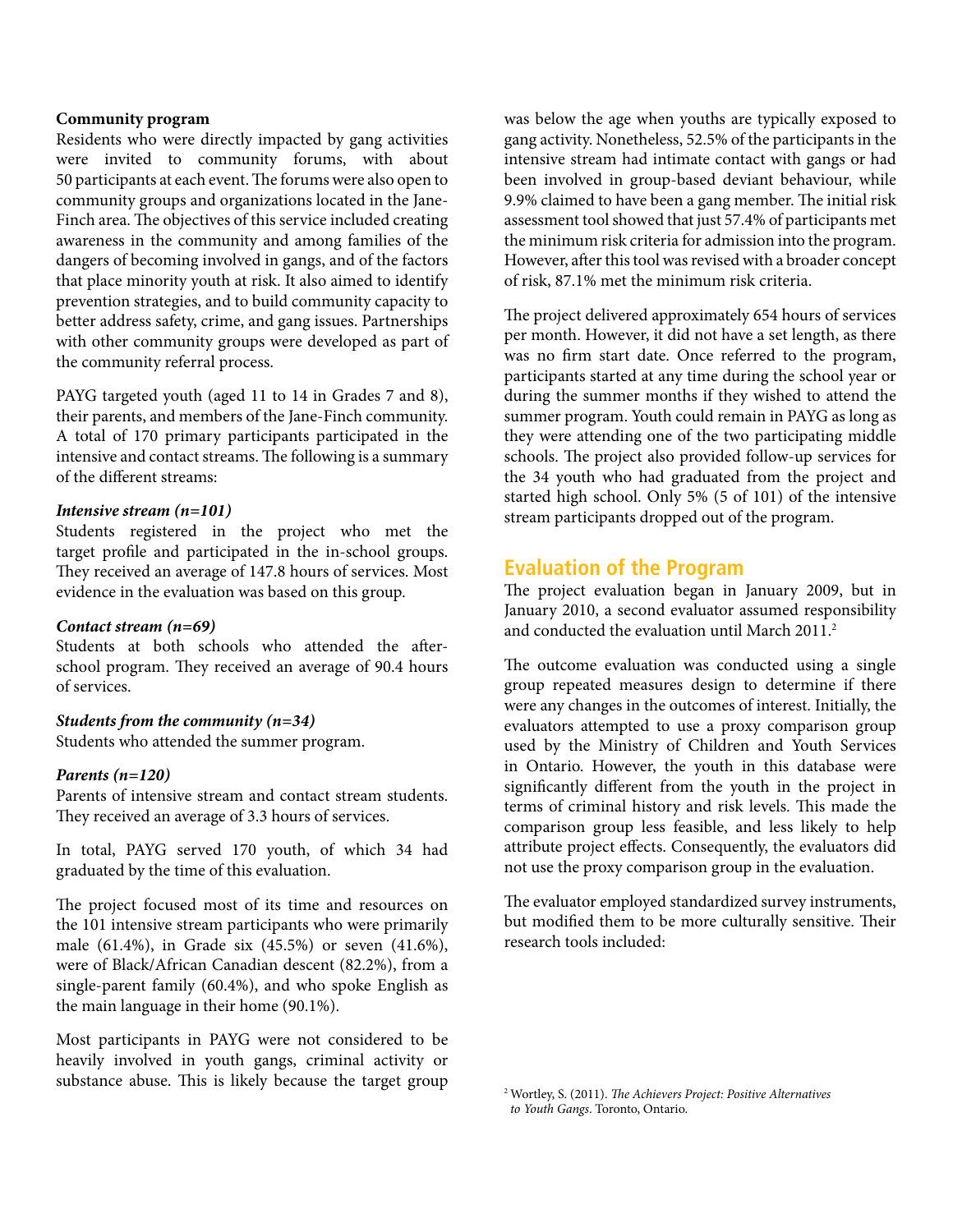#### **Community program**

Residents who were directly impacted by gang activities were invited to community forums, with about 50 participants at each event. The forums were also open to community groups and organizations located in the Jane-Finch area. The objectives of this service included creating awareness in the community and among families of the dangers of becoming involved in gangs, and of the factors that place minority youth at risk. It also aimed to identify prevention strategies, and to build community capacity to better address safety, crime, and gang issues. Partnerships with other community groups were developed as part of the community referral process.

PAYG targeted youth (aged 11 to 14 in Grades 7 and 8), their parents, and members of the Jane-Finch community. A total of 170 primary participants participated in the intensive and contact streams. The following is a summary of the different streams:

#### *Intensive stream (n=101)*

Students registered in the project who met the target profile and participated in the in-school groups. They received an average of 147.8 hours of services. Most evidence in the evaluation was based on this group.

#### *Contact stream (n=69)*

Students at both schools who attended the afterschool program. They received an average of 90.4 hours of services.

#### *Students from the community (n=34)*

Students who attended the summer program.

#### *Parents (n=120)*

Parents of intensive stream and contact stream students. They received an average of 3.3 hours of services.

In total, PAYG served 170 youth, of which 34 had graduated by the time of this evaluation.

The project focused most of its time and resources on the 101 intensive stream participants who were primarily male (61.4%), in Grade six (45.5%) or seven (41.6%), were of Black/African Canadian descent (82.2%), from a single-parent family (60.4%), and who spoke English as the main language in their home (90.1%).

Most participants in PAYG were not considered to be heavily involved in youth gangs, criminal activity or substance abuse. This is likely because the target group <sup>2</sup> Wortley, S. (2011). *The Achievers Project: Positive Alternatives* 

was below the age when youths are typically exposed to gang activity. Nonetheless, 52.5% of the participants in the intensive stream had intimate contact with gangs or had been involved in group-based deviant behaviour, while 9.9% claimed to have been a gang member. The initial risk assessment tool showed that just 57.4% of participants met the minimum risk criteria for admission into the program. However, after this tool was revised with a broader concept of risk, 87.1% met the minimum risk criteria.

The project delivered approximately 654 hours of services per month. However, it did not have a set length, as there was no firm start date. Once referred to the program, participants started at any time during the school year or during the summer months if they wished to attend the summer program. Youth could remain in PAYG as long as they were attending one of the two participating middle schools. The project also provided follow-up services for the 34 youth who had graduated from the project and started high school. Only 5% (5 of 101) of the intensive stream participants dropped out of the program.

## **Evaluation of the Program**

The project evaluation began in January 2009, but in January 2010, a second evaluator assumed responsibility and conducted the evaluation until March 2011.<sup>2</sup>

The outcome evaluation was conducted using a single group repeated measures design to determine if there were any changes in the outcomes of interest. Initially, the evaluators attempted to use a proxy comparison group used by the Ministry of Children and Youth Services in Ontario. However, the youth in this database were significantly different from the youth in the project in terms of criminal history and risk levels. This made the comparison group less feasible, and less likely to help attribute project effects. Consequently, the evaluators did not use the proxy comparison group in the evaluation.

The evaluator employed standardized survey instruments, but modified them to be more culturally sensitive. Their research tools included:

*to Youth Gangs*. Toronto, Ontario.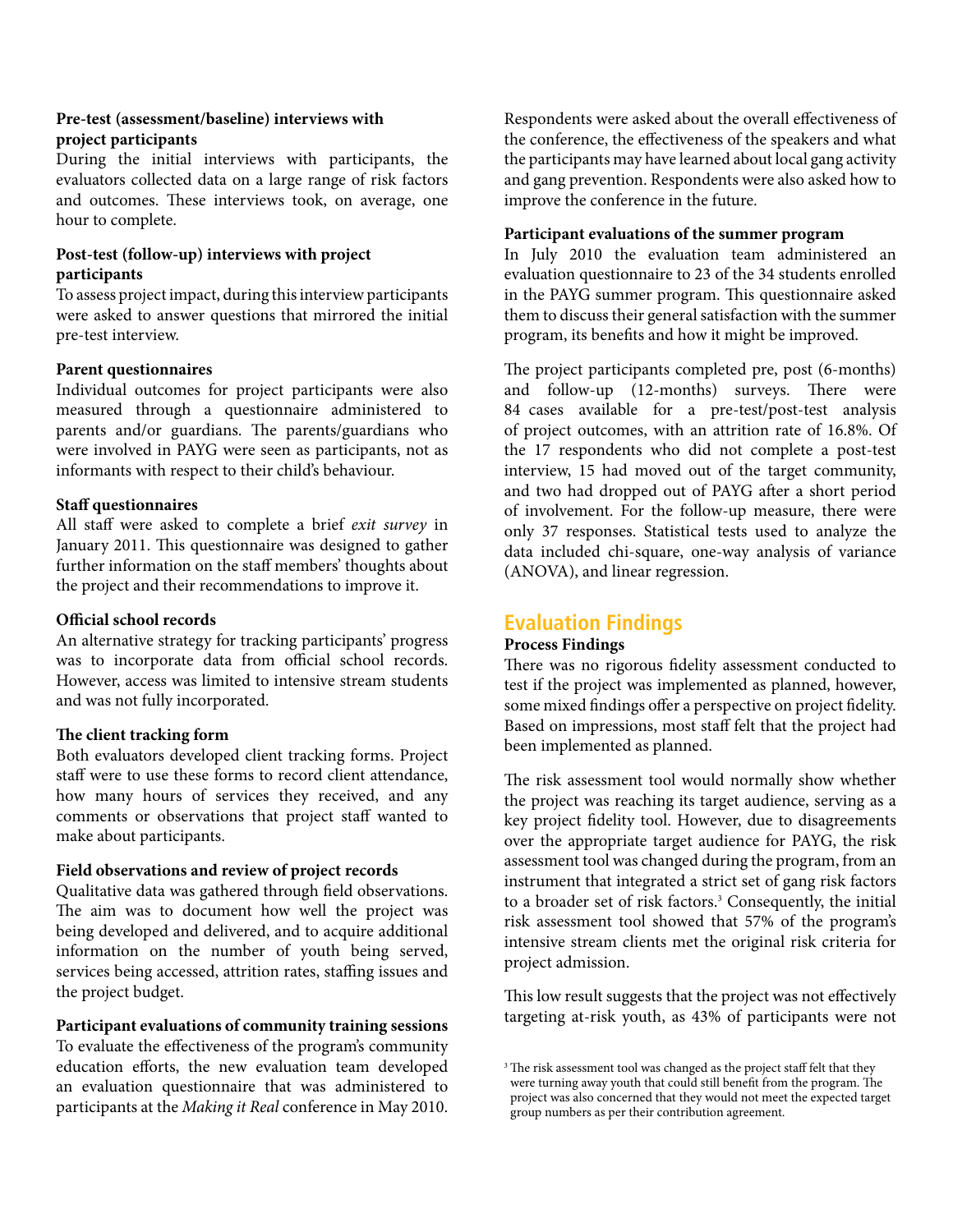#### **Pre-test (assessment/baseline) interviews with project participants**

During the initial interviews with participants, the evaluators collected data on a large range of risk factors and outcomes. These interviews took, on average, one hour to complete.

### **Post-test (follow-up) interviews with project participants**

To assess project impact, during this interview participants were asked to answer questions that mirrored the initial pre-test interview.

#### **Parent questionnaires**

Individual outcomes for project participants were also measured through a questionnaire administered to parents and/or guardians. The parents/guardians who were involved in PAYG were seen as participants, not as informants with respect to their child's behaviour.

#### **Staff questionnaires**

All staff were asked to complete a brief *exit survey* in January 2011. This questionnaire was designed to gather further information on the staff members' thoughts about the project and their recommendations to improve it.

#### **Official school records**

An alternative strategy for tracking participants' progress was to incorporate data from official school records. However, access was limited to intensive stream students and was not fully incorporated.

## **The client tracking form**

Both evaluators developed client tracking forms. Project staff were to use these forms to record client attendance, how many hours of services they received, and any comments or observations that project staff wanted to make about participants.

#### **Field observations and review of project records**

Qualitative data was gathered through field observations. The aim was to document how well the project was being developed and delivered, and to acquire additional information on the number of youth being served, services being accessed, attrition rates, staffing issues and the project budget.

#### **Participant evaluations of community training sessions** To evaluate the effectiveness of the program's community education efforts, the new evaluation team developed an evaluation questionnaire that was administered to participants at the *Making it Real* conference in May 2010.

Respondents were asked about the overall effectiveness of the conference, the effectiveness of the speakers and what the participants may have learned about local gang activity and gang prevention. Respondents were also asked how to improve the conference in the future.

#### **Participant evaluations of the summer program**

In July 2010 the evaluation team administered an evaluation questionnaire to 23 of the 34 students enrolled in the PAYG summer program. This questionnaire asked them to discuss their general satisfaction with the summer program, its benefits and how it might be improved.

The project participants completed pre, post (6-months) and follow-up (12-months) surveys. There were 84 cases available for a pre-test/post-test analysis of project outcomes, with an attrition rate of 16.8%. Of the 17 respondents who did not complete a post-test interview, 15 had moved out of the target community, and two had dropped out of PAYG after a short period of involvement. For the follow-up measure, there were only 37 responses. Statistical tests used to analyze the data included chi-square, one-way analysis of variance (ANOVA), and linear regression.

## **Evaluation Findings**

## **Process Findings**

There was no rigorous fidelity assessment conducted to test if the project was implemented as planned, however, some mixed findings offer a perspective on project fidelity. Based on impressions, most staff felt that the project had been implemented as planned.

The risk assessment tool would normally show whether the project was reaching its target audience, serving as a key project fidelity tool. However, due to disagreements over the appropriate target audience for PAYG, the risk assessment tool was changed during the program, from an instrument that integrated a strict set of gang risk factors to a broader set of risk factors.<sup>3</sup> Consequently, the initial risk assessment tool showed that 57% of the program's intensive stream clients met the original risk criteria for project admission.

This low result suggests that the project was not effectively targeting at-risk youth, as 43% of participants were not

<sup>&</sup>lt;sup>3</sup> The risk assessment tool was changed as the project staff felt that they were turning away youth that could still benefit from the program. The project was also concerned that they would not meet the expected target group numbers as per their contribution agreement.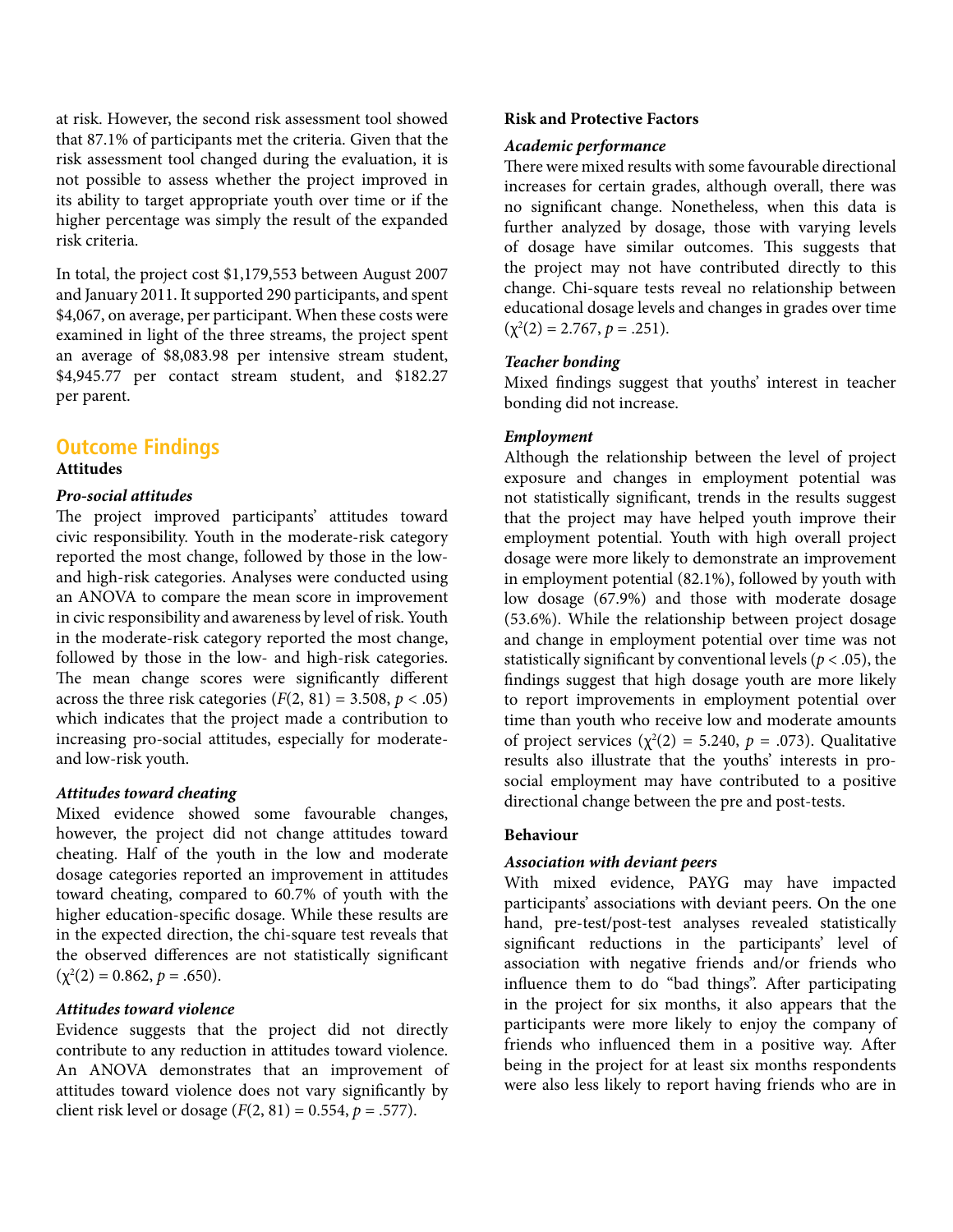at risk. However, the second risk assessment tool showed that 87.1% of participants met the criteria. Given that the risk assessment tool changed during the evaluation, it is not possible to assess whether the project improved in its ability to target appropriate youth over time or if the higher percentage was simply the result of the expanded risk criteria.

In total, the project cost \$1,179,553 between August 2007 and January 2011. It supported 290 participants, and spent \$4,067, on average, per participant. When these costs were examined in light of the three streams, the project spent an average of \$8,083.98 per intensive stream student, \$4,945.77 per contact stream student, and \$182.27 per parent.

## **Outcome Findings**

#### **Attitudes**

#### *Pro-social attitudes*

The project improved participants' attitudes toward civic responsibility. Youth in the moderate-risk category reported the most change, followed by those in the lowand high-risk categories. Analyses were conducted using an ANOVA to compare the mean score in improvement in civic responsibility and awareness by level of risk. Youth in the moderate-risk category reported the most change, followed by those in the low- and high-risk categories. The mean change scores were significantly different across the three risk categories  $(F(2, 81) = 3.508, p < .05)$ which indicates that the project made a contribution to increasing pro-social attitudes, especially for moderateand low-risk youth.

#### *Attitudes toward cheating*

Mixed evidence showed some favourable changes, however, the project did not change attitudes toward cheating. Half of the youth in the low and moderate dosage categories reported an improvement in attitudes toward cheating, compared to 60.7% of youth with the higher education-specific dosage. While these results are in the expected direction, the chi-square test reveals that the observed differences are not statistically significant  $(\chi^2(2) = 0.862, p = .650).$ 

#### *Attitudes toward violence*

Evidence suggests that the project did not directly contribute to any reduction in attitudes toward violence. An ANOVA demonstrates that an improvement of attitudes toward violence does not vary significantly by client risk level or dosage ( $F(2, 81) = 0.554$ ,  $p = .577$ ).

#### **Risk and Protective Factors**

#### *Academic performance*

There were mixed results with some favourable directional increases for certain grades, although overall, there was no significant change. Nonetheless, when this data is further analyzed by dosage, those with varying levels of dosage have similar outcomes. This suggests that the project may not have contributed directly to this change. Chi-square tests reveal no relationship between educational dosage levels and changes in grades over time  $(\chi^2(2) = 2.767, p = .251).$ 

#### *Teacher bonding*

Mixed findings suggest that youths' interest in teacher bonding did not increase.

#### *Employment*

Although the relationship between the level of project exposure and changes in employment potential was not statistically significant, trends in the results suggest that the project may have helped youth improve their employment potential. Youth with high overall project dosage were more likely to demonstrate an improvement in employment potential (82.1%), followed by youth with low dosage (67.9%) and those with moderate dosage (53.6%). While the relationship between project dosage and change in employment potential over time was not statistically significant by conventional levels ( $p < .05$ ), the findings suggest that high dosage youth are more likely to report improvements in employment potential over time than youth who receive low and moderate amounts of project services  $(\chi^2(2) = 5.240, p = .073)$ . Qualitative results also illustrate that the youths' interests in prosocial employment may have contributed to a positive directional change between the pre and post-tests.

#### **Behaviour**

#### *Association with deviant peers*

With mixed evidence, PAYG may have impacted participants' associations with deviant peers. On the one hand, pre-test/post-test analyses revealed statistically significant reductions in the participants' level of association with negative friends and/or friends who influence them to do "bad things". After participating in the project for six months, it also appears that the participants were more likely to enjoy the company of friends who influenced them in a positive way. After being in the project for at least six months respondents were also less likely to report having friends who are in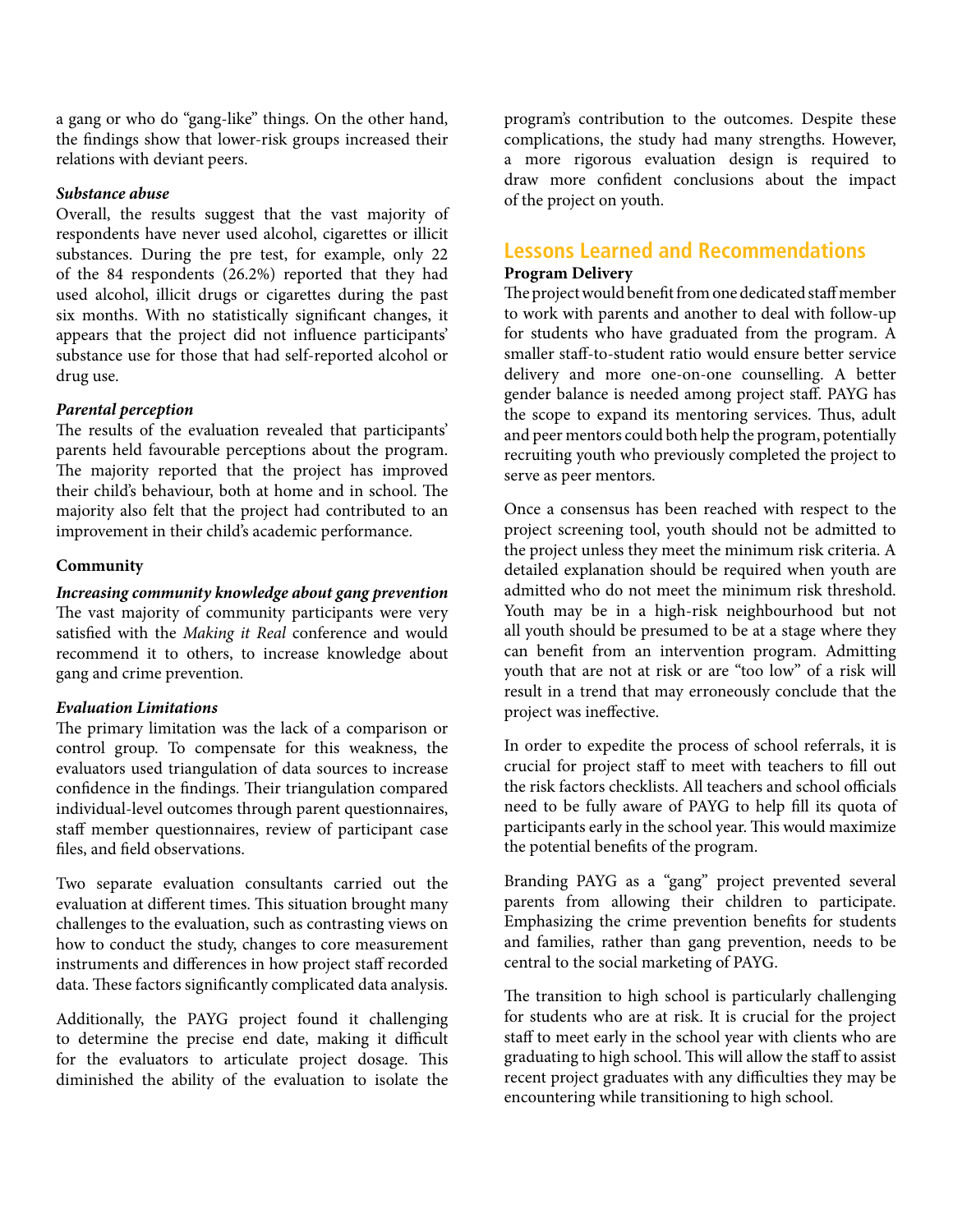a gang or who do "gang-like" things. On the other hand, the findings show that lower-risk groups increased their relations with deviant peers.

#### *Substance abuse*

Overall, the results suggest that the vast majority of respondents have never used alcohol, cigarettes or illicit substances. During the pre test, for example, only 22 of the 84 respondents (26.2%) reported that they had used alcohol, illicit drugs or cigarettes during the past six months. With no statistically significant changes, it appears that the project did not influence participants' substance use for those that had self-reported alcohol or drug use.

## *Parental perception*

The results of the evaluation revealed that participants' parents held favourable perceptions about the program. The majority reported that the project has improved their child's behaviour, both at home and in school. The majority also felt that the project had contributed to an improvement in their child's academic performance.

#### **Community**

*Increasing community knowledge about gang prevention* The vast majority of community participants were very satisfied with the *Making it Real* conference and would recommend it to others, to increase knowledge about gang and crime prevention.

## *Evaluation Limitations*

The primary limitation was the lack of a comparison or control group. To compensate for this weakness, the evaluators used triangulation of data sources to increase confidence in the findings. Their triangulation compared individual-level outcomes through parent questionnaires, staff member questionnaires, review of participant case files, and field observations.

Two separate evaluation consultants carried out the evaluation at different times. This situation brought many challenges to the evaluation, such as contrasting views on how to conduct the study, changes to core measurement instruments and differences in how project staff recorded data. These factors significantly complicated data analysis.

Additionally, the PAYG project found it challenging to determine the precise end date, making it difficult for the evaluators to articulate project dosage. This diminished the ability of the evaluation to isolate the

program's contribution to the outcomes. Despite these complications, the study had many strengths. However, a more rigorous evaluation design is required to draw more confident conclusions about the impact of the project on youth.

# **Lessons Learned and Recommendations**

#### **Program Delivery**

The project would benefit from one dedicated staff member to work with parents and another to deal with follow-up for students who have graduated from the program. A smaller staff-to-student ratio would ensure better service delivery and more one-on-one counselling. A better gender balance is needed among project staff. PAYG has the scope to expand its mentoring services. Thus, adult and peer mentors could both help the program, potentially recruiting youth who previously completed the project to serve as peer mentors.

Once a consensus has been reached with respect to the project screening tool, youth should not be admitted to the project unless they meet the minimum risk criteria. A detailed explanation should be required when youth are admitted who do not meet the minimum risk threshold. Youth may be in a high-risk neighbourhood but not all youth should be presumed to be at a stage where they can benefit from an intervention program. Admitting youth that are not at risk or are "too low" of a risk will result in a trend that may erroneously conclude that the project was ineffective.

In order to expedite the process of school referrals, it is crucial for project staff to meet with teachers to fill out the risk factors checklists. All teachers and school officials need to be fully aware of PAYG to help fill its quota of participants early in the school year. This would maximize the potential benefits of the program.

Branding PAYG as a "gang" project prevented several parents from allowing their children to participate. Emphasizing the crime prevention benefits for students and families, rather than gang prevention, needs to be central to the social marketing of PAYG.

The transition to high school is particularly challenging for students who are at risk. It is crucial for the project staff to meet early in the school year with clients who are graduating to high school. This will allow the staff to assist recent project graduates with any difficulties they may be encountering while transitioning to high school.